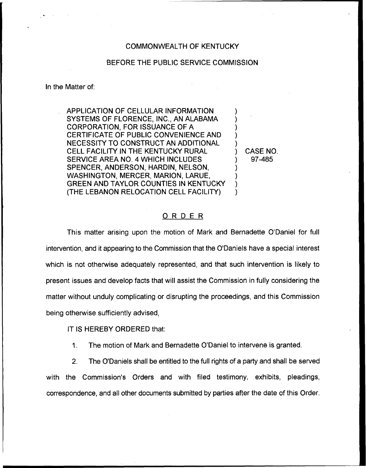## COMMONWEALTH OF KENTUCKY

## BEFORE THE PUBLIC SERVICE COMMISSION

In the Matter of:

APPLICATION OF CELLULAR INFORMATION SYSTEMS OF FLORENCE, INC., AN ALABAMA CORPORATION, FOR ISSUANCE OF A CERTIFICATE OF PUBLIC CONVENIENCE AND NECESSITY TO CONSTRUCT AN ADDITIONAL CELL FACILITY IN THE KENTUCKY RURAL SERVICE AREA NO. 4 WHICH INCLUDES SPENCER, ANDERSON, HARDIN, NELSON, WASHINGTON, MERCER, MARION, LARUE, GREEN AND TAYLOR COUNTIES IN KENTUCKY (THE LEBANON RELOCATION CELL FACILITY)

) CASE NO. ) 97-485

) ) ) ) )

> ) ) ) )

## ORDER

This matter arising upon the motion of Mark and Bernadette O'Daniel for full intervention, and it appearing to the Commission that the O'Daniels have a special interest which is not otherwise adequately represented, and that such intervention is likely to present issues and develop facts that will assist the Commission in fully considering the matter without unduly complicating or disrupting the proceedings, and this Commission being otherwise sufficiently advised,

IT IS HEREBY ORDERED that:

1. The motion of Mark and Bernadette O'Daniel to intervene is granted.

2. The O'Daniels shall be entitled to the full rights of a party and shall be served with the Commission's Orders and with filed testimony, exhibits, pleadings, correspondence, and all other documents submitted by parties after the date of this Order.